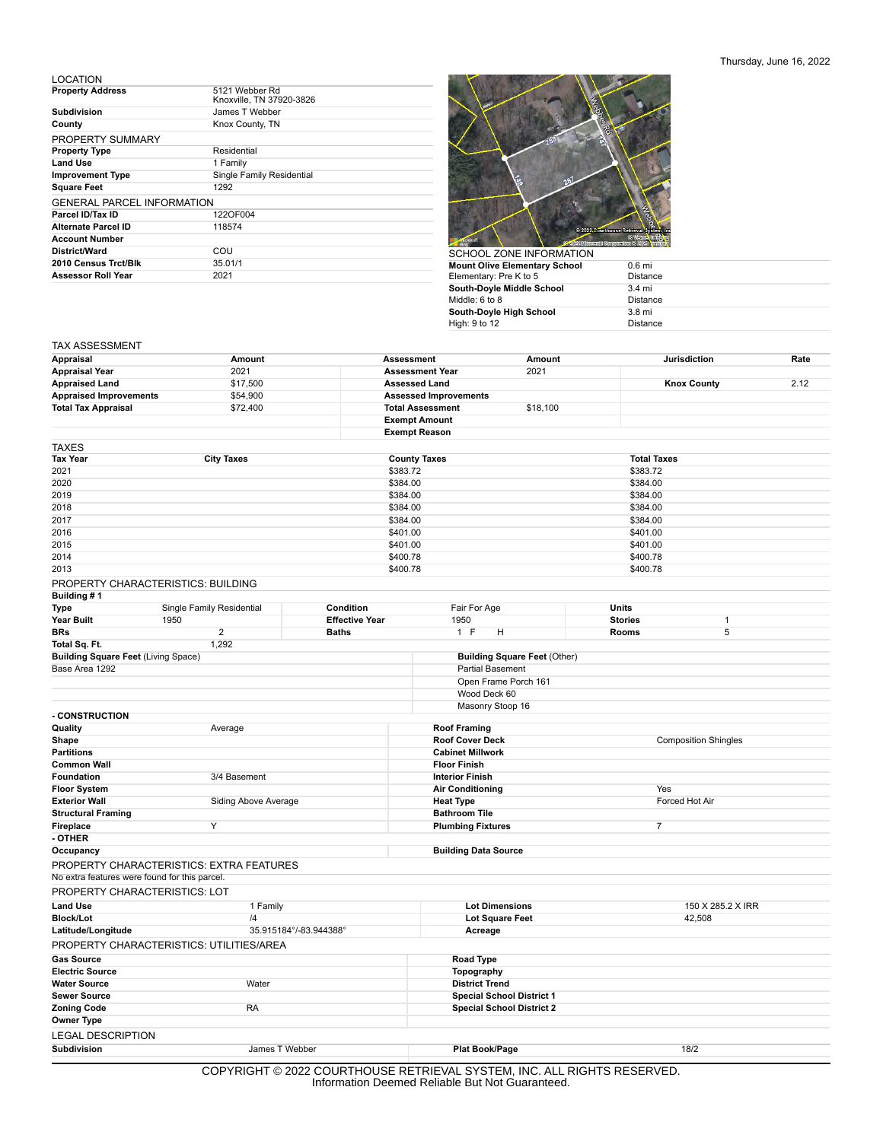## Thursday, June 16, 2022

## LOCATION

| <b>Property Address</b>           | 5121 Webber Rd<br>Knoxville, TN 37920-3826 |
|-----------------------------------|--------------------------------------------|
| <b>Subdivision</b>                | James T Webber                             |
| County                            | Knox County, TN                            |
| PROPERTY SUMMARY                  |                                            |
| <b>Property Type</b>              | Residential                                |
| <b>Land Use</b>                   | 1 Family                                   |
| <b>Improvement Type</b>           | Single Family Residential                  |
| <b>Square Feet</b>                | 1292                                       |
| <b>GENERAL PARCEL INFORMATION</b> |                                            |
| Parcel ID/Tax ID                  | 122OF004                                   |
| Alternate Parcel ID               | 118574                                     |
| <b>Account Number</b>             |                                            |
| District/Ward                     | COU                                        |
| 2010 Census Trct/Blk              | 35.01/1                                    |
| <b>Assessor Roll Year</b>         | 2021                                       |



| SCHOOL ZONE INFORMATION              |                   |
|--------------------------------------|-------------------|
| <b>Mount Olive Elementary School</b> | 0.6 <sub>mi</sub> |
| Elementary: Pre K to 5               | <b>Distance</b>   |
| South-Doyle Middle School            | $3.4 \text{ mi}$  |
| Middle: 6 to 8                       | <b>Distance</b>   |
| South-Doyle High School              | $3.8 \text{ mi}$  |
| High: 9 to 12                        | <b>Distance</b>   |

## TAX ASSESSMENT

| Appraisal                                     | Amount                                          |                                      | <b>Assessment</b>                                     | Amount                              |                         | <b>Jurisdiction</b> | Rate |
|-----------------------------------------------|-------------------------------------------------|--------------------------------------|-------------------------------------------------------|-------------------------------------|-------------------------|---------------------|------|
| <b>Appraisal Year</b>                         | 2021                                            |                                      | <b>Assessment Year</b>                                | 2021                                |                         |                     |      |
| <b>Appraised Land</b>                         | \$17,500                                        |                                      | <b>Assessed Land</b>                                  |                                     |                         | <b>Knox County</b>  | 2.12 |
| <b>Appraised Improvements</b>                 | \$54,900                                        |                                      | <b>Assessed Improvements</b>                          |                                     |                         |                     |      |
| <b>Total Tax Appraisal</b>                    | \$72,400                                        |                                      | <b>Total Assessment</b>                               | \$18,100                            |                         |                     |      |
|                                               |                                                 |                                      | <b>Exempt Amount</b>                                  |                                     |                         |                     |      |
|                                               |                                                 |                                      | <b>Exempt Reason</b>                                  |                                     |                         |                     |      |
| <b>TAXES</b>                                  |                                                 |                                      |                                                       |                                     |                         |                     |      |
| Tax Year                                      | <b>City Taxes</b>                               |                                      | <b>County Taxes</b>                                   |                                     | <b>Total Taxes</b>      |                     |      |
| 2021                                          |                                                 | \$383.72                             |                                                       |                                     | \$383.72                |                     |      |
| 2020                                          |                                                 |                                      | \$384.00<br>\$384.00                                  |                                     |                         |                     |      |
| 2019                                          |                                                 | \$384.00<br>\$384.00                 |                                                       |                                     |                         |                     |      |
| 2018                                          |                                                 |                                      | \$384.00<br>\$384.00                                  |                                     |                         |                     |      |
| 2017                                          |                                                 |                                      | \$384.00<br>\$384.00                                  |                                     |                         |                     |      |
| 2016                                          |                                                 | \$401.00<br>\$401.00                 |                                                       |                                     |                         |                     |      |
| 2015                                          |                                                 | \$401.00                             |                                                       |                                     | \$401.00                |                     |      |
| 2014<br>2013                                  |                                                 | \$400.78<br>\$400.78                 |                                                       |                                     | \$400.78                |                     |      |
|                                               |                                                 |                                      |                                                       |                                     | \$400.78                |                     |      |
| PROPERTY CHARACTERISTICS: BUILDING            |                                                 |                                      |                                                       |                                     |                         |                     |      |
| Building #1                                   |                                                 | Condition                            |                                                       |                                     |                         |                     |      |
| Type<br>Year Built                            | Single Family Residential<br>1950               | <b>Effective Year</b>                | Fair For Age<br>1950                                  |                                     | Units<br><b>Stories</b> | $\mathbf{1}$        |      |
| <b>BRs</b>                                    | $\overline{2}$                                  | <b>Baths</b>                         | 1 F<br>н                                              |                                     | Rooms                   | 5                   |      |
| Total Sq. Ft.                                 | 1,292                                           |                                      |                                                       |                                     |                         |                     |      |
| <b>Building Square Feet (Living Space)</b>    |                                                 |                                      |                                                       | <b>Building Square Feet (Other)</b> |                         |                     |      |
| Base Area 1292                                |                                                 |                                      | <b>Partial Basement</b>                               |                                     |                         |                     |      |
|                                               |                                                 |                                      | Open Frame Porch 161                                  |                                     |                         |                     |      |
|                                               |                                                 |                                      | Wood Deck 60                                          |                                     |                         |                     |      |
|                                               |                                                 |                                      | Masonry Stoop 16                                      |                                     |                         |                     |      |
| - CONSTRUCTION                                |                                                 |                                      |                                                       |                                     |                         |                     |      |
| Quality                                       | Average                                         |                                      | <b>Roof Framing</b>                                   |                                     |                         |                     |      |
| Shape                                         |                                                 |                                      | <b>Roof Cover Deck</b><br><b>Composition Shingles</b> |                                     |                         |                     |      |
| <b>Partitions</b>                             |                                                 |                                      | <b>Cabinet Millwork</b>                               |                                     |                         |                     |      |
| <b>Common Wall</b>                            |                                                 |                                      | <b>Floor Finish</b>                                   |                                     |                         |                     |      |
| Foundation                                    | 3/4 Basement                                    |                                      | <b>Interior Finish</b>                                |                                     |                         |                     |      |
| <b>Floor System</b>                           |                                                 |                                      | <b>Air Conditioning</b>                               |                                     | Yes                     |                     |      |
| <b>Exterior Wall</b>                          | Siding Above Average                            |                                      | <b>Heat Type</b>                                      |                                     | Forced Hot Air          |                     |      |
| <b>Structural Framing</b>                     | Υ                                               |                                      | <b>Bathroom Tile</b>                                  |                                     | $\overline{7}$          |                     |      |
| Fireplace<br>- OTHER                          |                                                 |                                      | <b>Plumbing Fixtures</b>                              |                                     |                         |                     |      |
| Occupancy                                     |                                                 |                                      | <b>Building Data Source</b>                           |                                     |                         |                     |      |
|                                               |                                                 |                                      |                                                       |                                     |                         |                     |      |
| No extra features were found for this parcel. | <b>PROPERTY CHARACTERISTICS: EXTRA FEATURES</b> |                                      |                                                       |                                     |                         |                     |      |
|                                               |                                                 |                                      |                                                       |                                     |                         |                     |      |
| PROPERTY CHARACTERISTICS: LOT                 |                                                 |                                      |                                                       |                                     |                         |                     |      |
| <b>Land Use</b>                               | 1 Family                                        |                                      | <b>Lot Dimensions</b>                                 |                                     |                         | 150 X 285.2 X IRR   |      |
| <b>Block/Lot</b>                              |                                                 | $\sqrt{4}$<br>35.915184°/-83.944388° |                                                       | <b>Lot Square Feet</b><br>42,508    |                         |                     |      |
| Latitude/Longitude                            |                                                 |                                      | Acreage                                               |                                     |                         |                     |      |
|                                               | PROPERTY CHARACTERISTICS: UTILITIES/AREA        |                                      |                                                       |                                     |                         |                     |      |
| <b>Gas Source</b>                             |                                                 |                                      | Road Type                                             |                                     |                         |                     |      |
| <b>Electric Source</b>                        |                                                 |                                      | Topography                                            |                                     |                         |                     |      |
| Water Source                                  | Water                                           |                                      | <b>District Trend</b>                                 |                                     |                         |                     |      |
| <b>Sewer Source</b>                           |                                                 |                                      | <b>Special School District 1</b>                      |                                     |                         |                     |      |
| <b>Zoning Code</b>                            | RA                                              |                                      | <b>Special School District 2</b>                      |                                     |                         |                     |      |
| Owner Type                                    |                                                 |                                      |                                                       |                                     |                         |                     |      |
| <b>LEGAL DESCRIPTION</b>                      |                                                 |                                      |                                                       |                                     |                         |                     |      |
| <b>Subdivision</b>                            | James T Webber                                  |                                      | Plat Book/Page                                        |                                     |                         | 18/2                |      |
|                                               |                                                 |                                      |                                                       |                                     |                         |                     |      |

COPYRIGHT © 2022 COURTHOUSE RETRIEVAL SYSTEM, INC. ALL RIGHTS RESERVED. Information Deemed Reliable But Not Guaranteed.